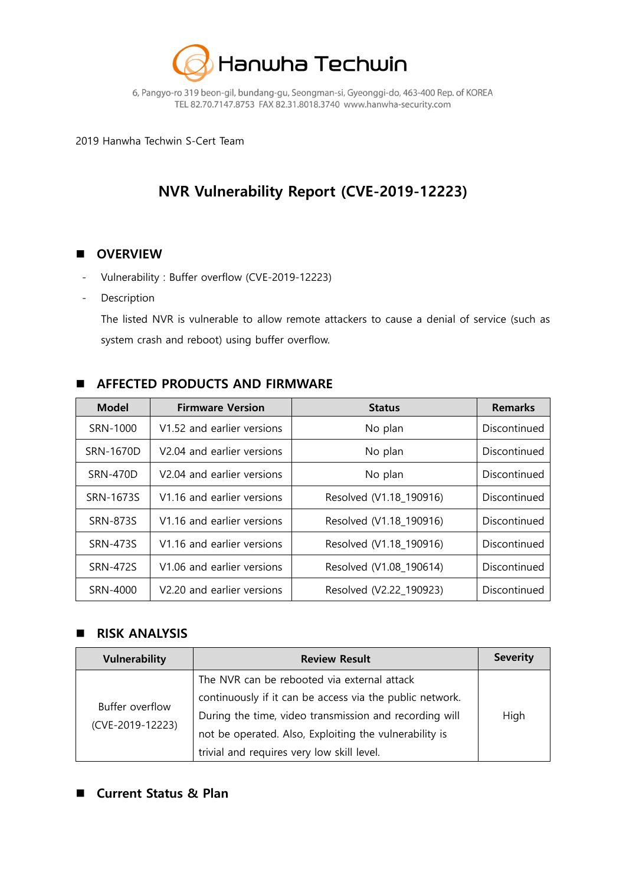

6, Pangyo-ro 319 beon-gil, bundang-gu, Seongman-si, Gyeonggi-do, 463-400 Rep. of KOREA TEL 82.70.7147.8753 FAX 82.31.8018.3740 www.hanwha-security.com

2019 Hanwha Techwin S-Cert Team

# NVR Vulnerability Report (CVE-2019-12223)

## **D** OVERVIEW

- Vulnerability : Buffer overflow (CVE-2019-12223)
- **Description**

The listed NVR is vulnerable to allow remote attackers to cause a denial of service (such as system crash and reboot) using buffer overflow.

# **AFFECTED PRODUCTS AND FIRMWARE**

| <b>Model</b>    | <b>Firmware Version</b>                | <b>Status</b>           | <b>Remarks</b> |
|-----------------|----------------------------------------|-------------------------|----------------|
| SRN-1000        | V1.52 and earlier versions             | No plan                 | Discontinued   |
| SRN-1670D       | V <sub>2.04</sub> and earlier versions | No plan                 | Discontinued   |
| <b>SRN-470D</b> | V <sub>2.04</sub> and earlier versions | No plan                 | Discontinued   |
| SRN-1673S       | V1.16 and earlier versions             | Resolved (V1.18_190916) | Discontinued   |
| <b>SRN-873S</b> | V1.16 and earlier versions             | Resolved (V1.18 190916) | Discontinued   |
| <b>SRN-473S</b> | V1.16 and earlier versions             | Resolved (V1.18 190916) | Discontinued   |
| <b>SRN-472S</b> | V1.06 and earlier versions             | Resolved (V1.08 190614) | Discontinued   |
| SRN-4000        | V2.20 and earlier versions             | Resolved (V2.22 190923) | Discontinued   |

#### **RISK ANALYSIS**

| <b>Vulnerability</b> | <b>Review Result</b>                                     | <b>Severity</b> |
|----------------------|----------------------------------------------------------|-----------------|
|                      | The NVR can be rebooted via external attack              |                 |
| Buffer overflow      | continuously if it can be access via the public network. |                 |
|                      | During the time, video transmission and recording will   | High            |
| (CVE-2019-12223)     | not be operated. Also, Exploiting the vulnerability is   |                 |
|                      | trivial and requires very low skill level.               |                 |

# ■ Current Status & Plan